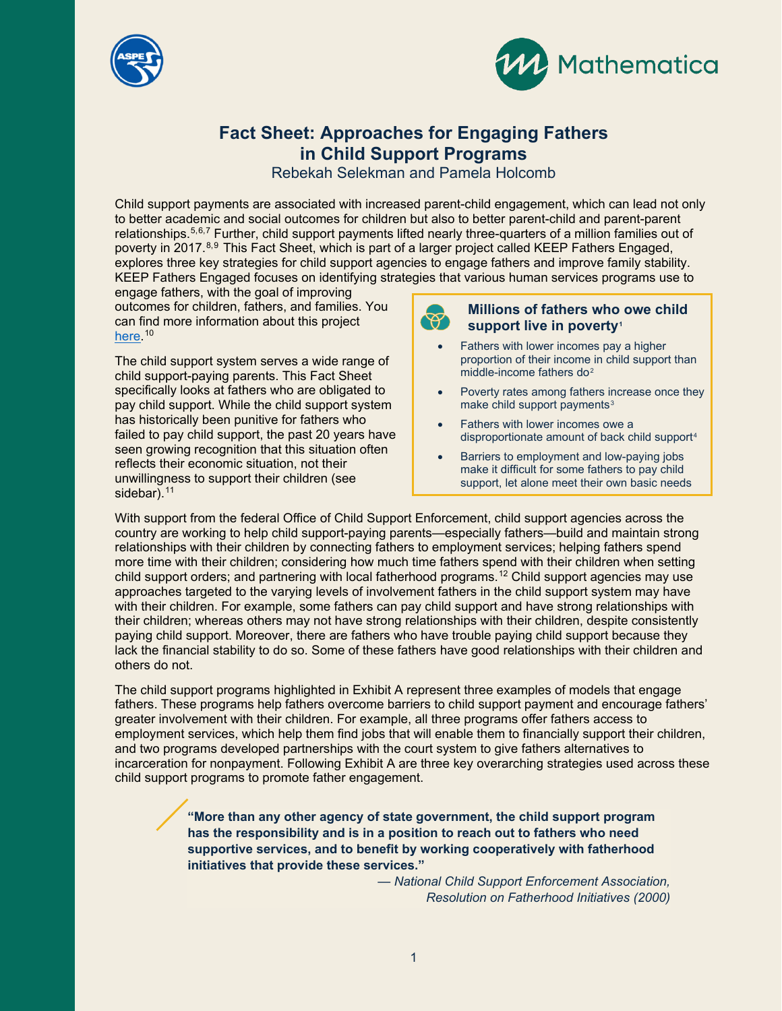



## **Fact Sheet: Approaches for Engaging Fathers in Child Support Programs**

Rebekah Selekman and Pamela Holcomb

Child support payments are associated with increased parent-child engagement, which can lead not only to better academic and social outcomes for children but also to better parent-child and parent-parent relationships.<sup>5,6,7</sup> Further, child support payments lifted nearly three-quarters of a million families out of poverty in 2017.<sup>8,9</sup> This Fact Sheet, which is part of a larger project called KEEP Fathers Engaged, explores three key strategies for child support agencies to engage fathers and improve family stability. KEEP Fathers Engaged focuses on identifying strategies that various human services programs use to

engage fathers, with the goal of improving outcomes for children, fathers, and families. You can find more information about this project [here.](https://aspe.hhs.gov/father-engagement)<sup>10</sup>

The child support system serves a wide range of child support-paying parents. This Fact Sheet specifically looks at fathers who are obligated to pay child support. While the child support system has historically been punitive for fathers who failed to pay child support, the past 20 years have seen growing recognition that this situation often reflects their economic situation, not their unwillingness to support their children (see sidebar).<sup>11</sup>

### **Millions of fathers who owe child support live in poverty1**

- Fathers with lower incomes pay a higher proportion of their income in child support than  $m$ iddle-income fathers do<sup>2</sup>
- Poverty rates among fathers increase once they make child support payments<sup>3</sup>
- Fathers with lower incomes owe a disproportionate amount of back child support<sup>4</sup>
- Barriers to employment and low-paying jobs make it difficult for some fathers to pay child support, let alone meet their own basic needs

With support from the federal Office of Child Support Enforcement, child support agencies across the country are working to help child support-paying parents—especially fathers—build and maintain strong relationships with their children by connecting fathers to employment services; helping fathers spend more time with their children; considering how much time fathers spend with their children when setting child support orders; and partnering with local fatherhood programs. <sup>12</sup> Child support agencies may use approaches targeted to the varying levels of involvement fathers in the child support system may have with their children. For example, some fathers can pay child support and have strong relationships with their children; whereas others may not have strong relationships with their children, despite consistently paying child support. Moreover, there are fathers who have trouble paying child support because they lack the financial stability to do so. Some of these fathers have good relationships with their children and others do not.

The child support programs highlighted in Exhibit A represent three examples of models that engage fathers. These programs help fathers overcome barriers to child support payment and encourage fathers' greater involvement with their children. For example, all three programs offer fathers access to employment services, which help them find jobs that will enable them to financially support their children, and two programs developed partnerships with the court system to give fathers alternatives to incarceration for nonpayment. Following Exhibit A are three key overarching strategies used across these child support programs to promote father engagement.

> **"More than any other agency of state government, the child support program has the responsibility and is in a position to reach out to fathers who need supportive services, and to benefit by working cooperatively with fatherhood initiatives that provide these services."**

> > *— National Child Support Enforcement Association, Resolution on Fatherhood Initiatives (2000)*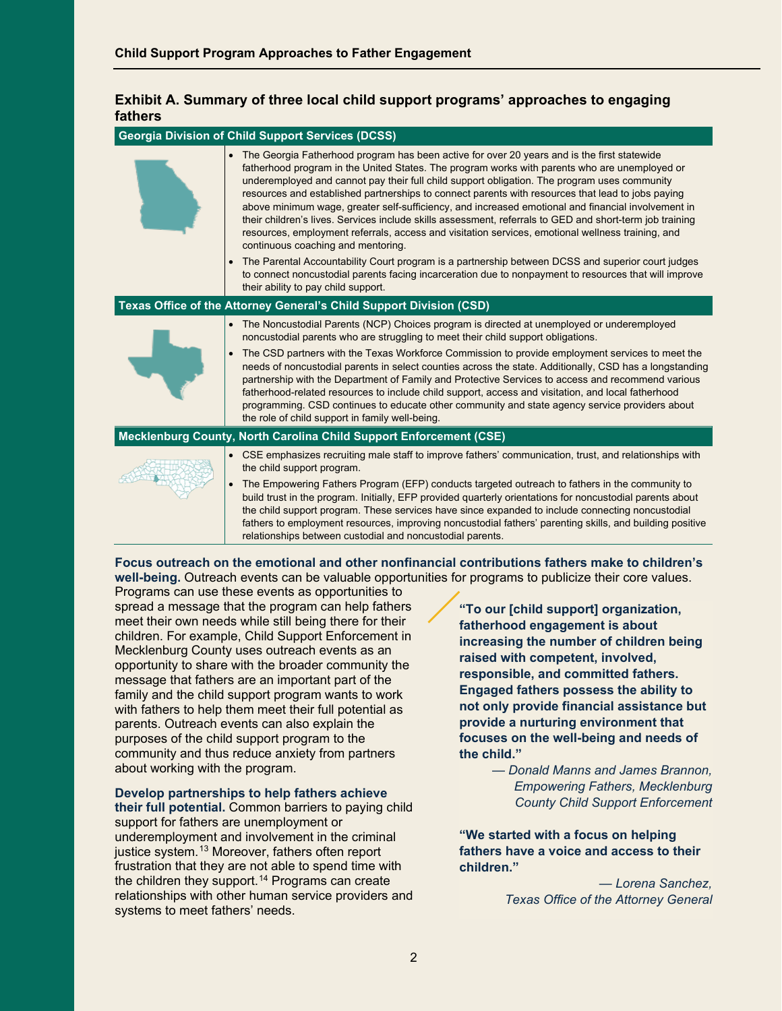## **Exhibit A. Summary of three local child support programs' approaches to engaging fathers**

#### **Georgia Division of Child Support Services (DCSS)**

|                                                                     | The Georgia Fatherhood program has been active for over 20 years and is the first statewide<br>fatherhood program in the United States. The program works with parents who are unemployed or<br>underemployed and cannot pay their full child support obligation. The program uses community<br>resources and established partnerships to connect parents with resources that lead to jobs paying<br>above minimum wage, greater self-sufficiency, and increased emotional and financial involvement in<br>their children's lives. Services include skills assessment, referrals to GED and short-term job training<br>resources, employment referrals, access and visitation services, emotional wellness training, and<br>continuous coaching and mentoring. |
|---------------------------------------------------------------------|----------------------------------------------------------------------------------------------------------------------------------------------------------------------------------------------------------------------------------------------------------------------------------------------------------------------------------------------------------------------------------------------------------------------------------------------------------------------------------------------------------------------------------------------------------------------------------------------------------------------------------------------------------------------------------------------------------------------------------------------------------------|
|                                                                     | The Parental Accountability Court program is a partnership between DCSS and superior court judges<br>to connect noncustodial parents facing incarceration due to nonpayment to resources that will improve<br>their ability to pay child support.                                                                                                                                                                                                                                                                                                                                                                                                                                                                                                              |
| Texas Office of the Attorney General's Child Support Division (CSD) |                                                                                                                                                                                                                                                                                                                                                                                                                                                                                                                                                                                                                                                                                                                                                                |
|                                                                     | • The Noncustodial Parents (NCP) Choices program is directed at unemployed or underemployed<br>noncustodial parents who are struggling to meet their child support obligations.<br>The CSD partners with the Texas Workforce Commission to provide employment services to meet the<br>needs of noncustodial parents in select counties across the state. Additionally, CSD has a longstanding<br>partnership with the Department of Family and Protective Services to access and recommend various<br>fatherhood-related resources to include child support, access and visitation, and local fatherhood<br>programming. CSD continues to educate other community and state agency service providers about<br>the role of child support in family well-being.  |
| Mecklenburg County, North Carolina Child Support Enforcement (CSE)  |                                                                                                                                                                                                                                                                                                                                                                                                                                                                                                                                                                                                                                                                                                                                                                |
|                                                                     | • CSE emphasizes recruiting male staff to improve fathers' communication, trust, and relationships with<br>the child support program.<br>The Empowering Fathers Program (EFP) conducts targeted outreach to fathers in the community to<br>build trust in the program. Initially, EFP provided quarterly orientations for noncustodial parents about<br>the child support program. These services have since expanded to include connecting noncustodial<br>fathers to employment resources, improving noncustodial fathers' parenting skills, and building positive<br>relationships between custodial and noncustodial parents.                                                                                                                              |

**Focus outreach on the emotional and other nonfinancial contributions fathers make to children's well-being.** Outreach events can be valuable opportunities for programs to publicize their core values.

Programs can use these events as opportunities to spread a message that the program can help fathers meet their own needs while still being there for their children. For example, Child Support Enforcement in Mecklenburg County uses outreach events as an opportunity to share with the broader community the message that fathers are an important part of the family and the child support program wants to work with fathers to help them meet their full potential as parents. Outreach events can also explain the purposes of the child support program to the community and thus reduce anxiety from partners about working with the program.

**Develop partnerships to help fathers achieve their full potential.** Common barriers to paying child support for fathers are unemployment or underemployment and involvement in the criminal justice system. 13 Moreover, fathers often report frustration that they are not able to spend time with the children they support.<sup>14</sup> Programs can create relationships with other human service providers and systems to meet fathers' needs.

**"To our [child support] organization, fatherhood engagement is about increasing the number of children being raised with competent, involved, responsible, and committed fathers. Engaged fathers possess the ability to not only provide financial assistance but provide a nurturing environment that focuses on the well-being and needs of the child."**

> *— Donald Manns and James Brannon, Empowering Fathers, Mecklenburg County Child Support Enforcement*

**"We started with a focus on helping fathers have a voice and access to their children."** 

> *— Lorena Sanchez, Texas Office of the Attorney General*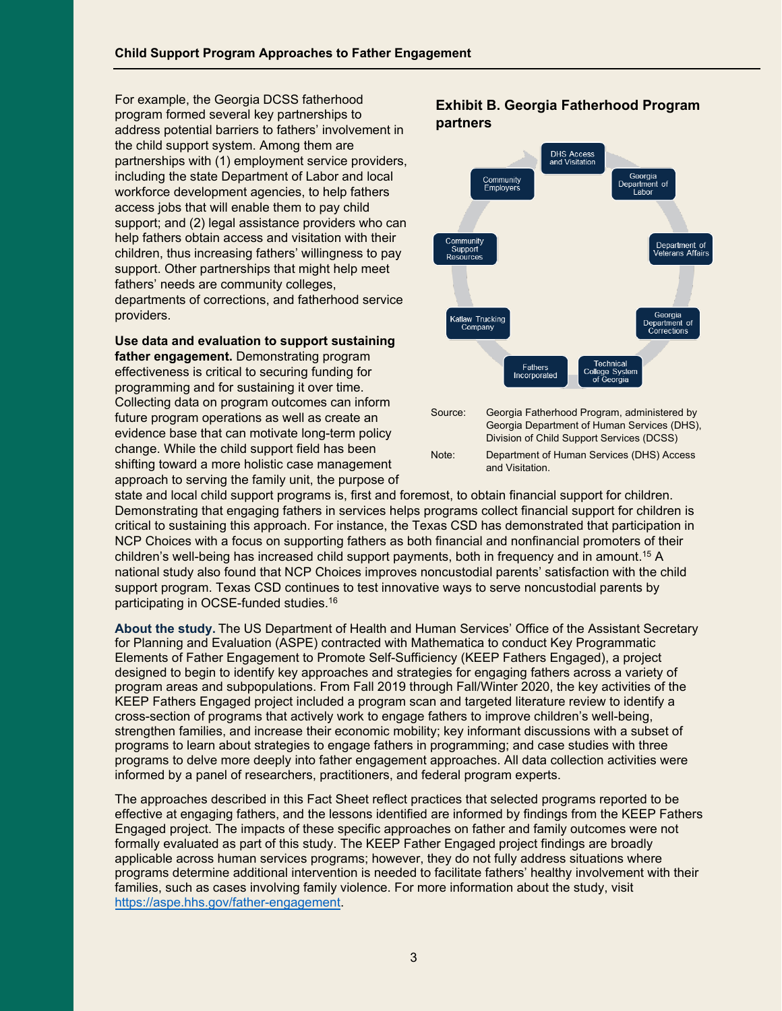For example, the Georgia DCSS fatherhood program formed several key partnerships to address potential barriers to fathers' involvement in the child support system. Among them are partnerships with (1) employment service providers, including the state Department of Labor and local workforce development agencies, to help fathers access jobs that will enable them to pay child support; and (2) legal assistance providers who can help fathers obtain access and visitation with their children, thus increasing fathers' willingness to pay support. Other partnerships that might help meet fathers' needs are community colleges, departments of corrections, and fatherhood service providers.

**Use data and evaluation to support sustaining father engagement.** Demonstrating program effectiveness is critical to securing funding for programming and for sustaining it over time. Collecting data on program outcomes can inform future program operations as well as create an evidence base that can motivate long-term policy change. While the child support field has been shifting toward a more holistic case management approach to serving the family unit, the purpose of

# **DHS Access**<br>and Visitation Georgia Community Department of Employers Community<br>Support<br>Resources Department of<br>Veterans Affair Katlaw Trucking<br>Company Department of<br>Corrections Fathers<br>Incorporated College Sy:<br>Of Georg

Source: Georgia Fatherhood Program, administered by Georgia Department of Human Services (DHS), Division of Child Support Services (DCSS) Note: Department of Human Services (DHS) Access and Visitation.

state and local child support programs is, first and foremost, to obtain financial support for children. Demonstrating that engaging fathers in services helps programs collect financial support for children is critical to sustaining this approach. For instance, the Texas CSD has demonstrated that participation in NCP Choices with a focus on supporting fathers as both financial and nonfinancial promoters of their children's well-being has increased child support payments, both in frequency and in amount. <sup>15</sup> A national study also found that NCP Choices improves noncustodial parents' satisfaction with the child support program. Texas CSD continues to test innovative ways to serve noncustodial parents by participating in OCSE-funded studies.<sup>16</sup>

**About the study.** The US Department of Health and Human Services' Office of the Assistant Secretary for Planning and Evaluation (ASPE) contracted with Mathematica to conduct Key Programmatic Elements of Father Engagement to Promote Self-Sufficiency (KEEP Fathers Engaged), a project designed to begin to identify key approaches and strategies for engaging fathers across a variety of program areas and subpopulations. From Fall 2019 through Fall/Winter 2020, the key activities of the KEEP Fathers Engaged project included a program scan and targeted literature review to identify a cross-section of programs that actively work to engage fathers to improve children's well-being, strengthen families, and increase their economic mobility; key informant discussions with a subset of programs to learn about strategies to engage fathers in programming; and case studies with three programs to delve more deeply into father engagement approaches. All data collection activities were informed by a panel of researchers, practitioners, and federal program experts.

The approaches described in this Fact Sheet reflect practices that selected programs reported to be effective at engaging fathers, and the lessons identified are informed by findings from the KEEP Fathers Engaged project. The impacts of these specific approaches on father and family outcomes were not formally evaluated as part of this study. The KEEP Father Engaged project findings are broadly applicable across human services programs; however, they do not fully address situations where programs determine additional intervention is needed to facilitate fathers' healthy involvement with their families, such as cases involving family violence. For more information about the study, visit [https://aspe.hhs.gov/father-engagement.](https://nam12.safelinks.protection.outlook.com/?url=https%3A%2F%2Faspe.hhs.gov%2Ffather-engagement&data=04%7C01%7CRSelekman%40mathematica-mpr.com%7Ca9c9b3d7aaba4b6438ff08d9696aa8c5%7C13af8d650b4b4c0fa446a427419abfd6%7C0%7C0%7C637656729103498229%7CUnknown%7CTWFpbGZsb3d8eyJWIjoiMC4wLjAwMDAiLCJQIjoiV2luMzIiLCJBTiI6Ik1haWwiLCJXVCI6Mn0%3D%7C1000&sdata=jNSmCQrKXwBdfd43q3JWIPgvOg%2BJM1WyU0fGd28rA9g%3D&reserved=0)

3

## **Exhibit B. Georgia Fatherhood Program partners**